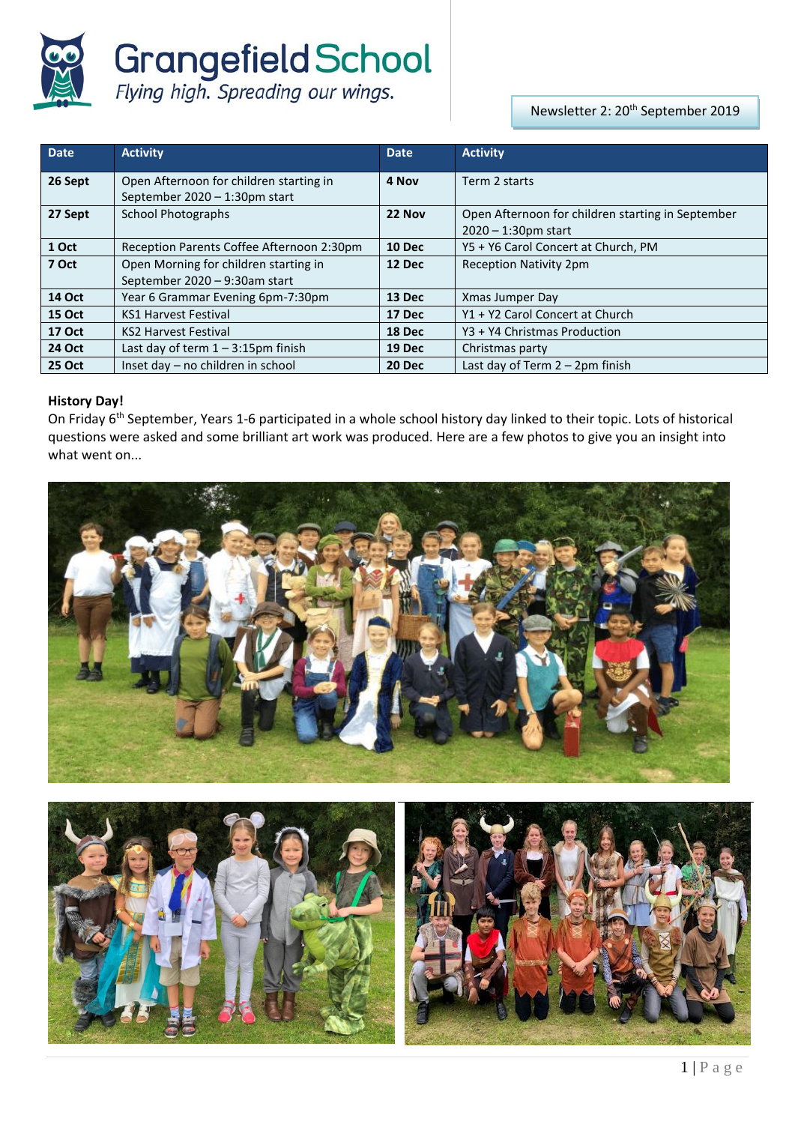

**Grangefield School**<br>Flying high. Spreading our wings.

Newsletter 2: 20<sup>th</sup> September 2019

| <b>Date</b>   | <b>Activity</b>                                                             | <b>Date</b>   | <b>Activity</b>                                                             |
|---------------|-----------------------------------------------------------------------------|---------------|-----------------------------------------------------------------------------|
| 26 Sept       | Open Afternoon for children starting in<br>September $2020 - 1:30$ pm start | 4 Nov         | Term 2 starts                                                               |
| 27 Sept       | <b>School Photographs</b>                                                   | 22 Nov        | Open Afternoon for children starting in September<br>$2020 - 1:30$ pm start |
| 1 Oct         | Reception Parents Coffee Afternoon 2:30pm                                   | <b>10 Dec</b> | Y5 + Y6 Carol Concert at Church, PM                                         |
| 7 Oct         | Open Morning for children starting in<br>September 2020 - 9:30am start      | 12 Dec        | <b>Reception Nativity 2pm</b>                                               |
| <b>14 Oct</b> | Year 6 Grammar Evening 6pm-7:30pm                                           | 13 Dec        | Xmas Jumper Day                                                             |
| <b>15 Oct</b> | <b>KS1 Harvest Festival</b>                                                 | 17 Dec        | Y1 + Y2 Carol Concert at Church                                             |
| <b>17 Oct</b> | <b>KS2 Harvest Festival</b>                                                 | 18 Dec        | Y3 + Y4 Christmas Production                                                |
| <b>24 Oct</b> | Last day of term $1 - 3:15$ pm finish                                       | 19 Dec        | Christmas party                                                             |
| <b>25 Oct</b> | Inset day - no children in school                                           | <b>20 Dec</b> | Last day of Term 2 - 2pm finish                                             |

# **History Day!**

On Friday 6<sup>th</sup> September, Years 1-6 participated in a whole school history day linked to their topic. Lots of historical questions were asked and some brilliant art work was produced. Here are a few photos to give you an insight into what went on...



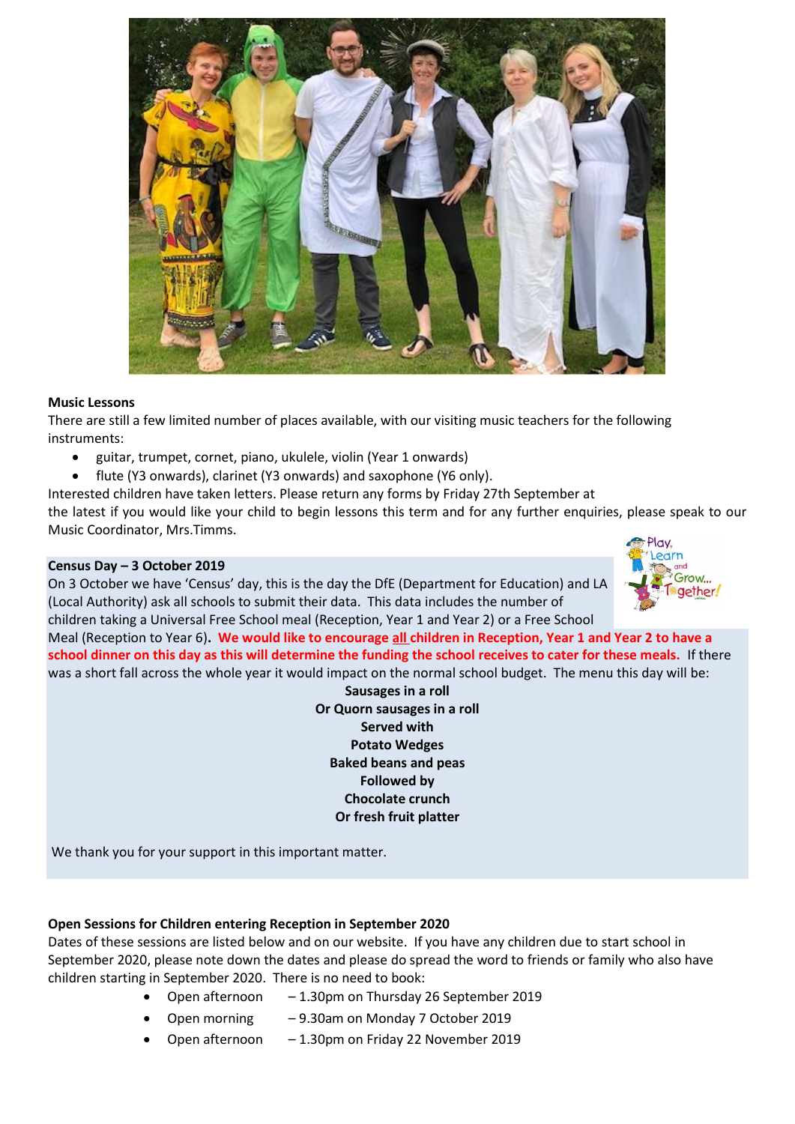

#### **Music Lessons**

There are still a few limited number of places available, with our visiting music teachers for the following instruments:

- guitar, trumpet, cornet, piano, ukulele, violin (Year 1 onwards)
- flute (Y3 onwards), clarinet (Y3 onwards) and saxophone (Y6 only).

Interested children have taken letters. Please return any forms by Friday 27th September at

the latest if you would like your child to begin lessons this term and for any further enquiries, please speak to our Music Coordinator, Mrs.Timms.

#### **Census Day – 3 October 2019**

On 3 October we have 'Census' day, this is the day the DfE (Department for Education) and LA (Local Authority) ask all schools to submit their data. This data includes the number of children taking a Universal Free School meal (Reception, Year 1 and Year 2) or a Free School



Meal (Reception to Year 6)**. We would like to encourage all children in Reception, Year 1 and Year 2 to have a school dinner on this day as this will determine the funding the school receives to cater for these meals.** If there was a short fall across the whole year it would impact on the normal school budget. The menu this day will be:

> **Sausages in a roll Or Quorn sausages in a roll Served with Potato Wedges Baked beans and peas Followed by Chocolate crunch Or fresh fruit platter**

We thank you for your support in this important matter.

### **Open Sessions for Children entering Reception in September 2020**

Dates of these sessions are listed below and on our website. If you have any children due to start school in September 2020, please note down the dates and please do spread the word to friends or family who also have children starting in September 2020. There is no need to book:

- Open afternoon 1.30pm on Thursday 26 September 2019
	- Open morning 9.30am on Monday 7 October 2019
- Open afternoon 1.30pm on Friday 22 November 2019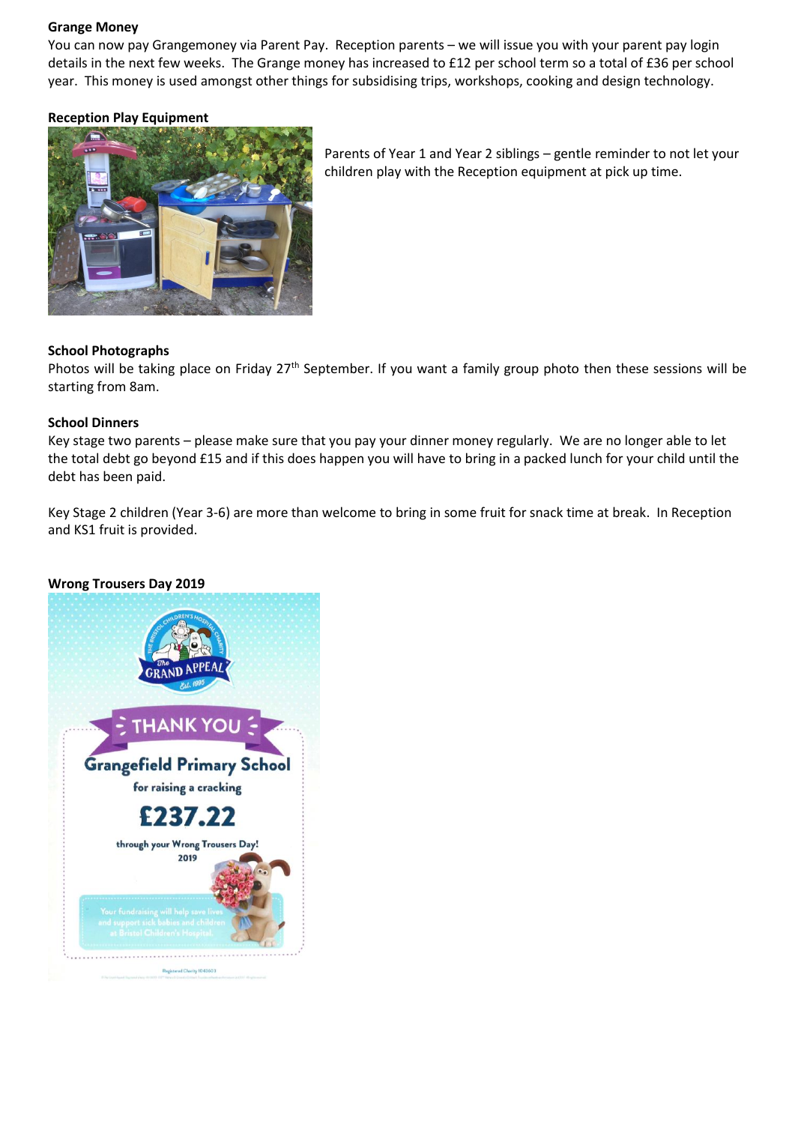#### **Grange Money**

You can now pay Grangemoney via Parent Pay. Reception parents – we will issue you with your parent pay login details in the next few weeks. The Grange money has increased to £12 per school term so a total of £36 per school year. This money is used amongst other things for subsidising trips, workshops, cooking and design technology.

### **Reception Play Equipment**



Parents of Year 1 and Year 2 siblings – gentle reminder to not let your children play with the Reception equipment at pick up time.

### **School Photographs**

Photos will be taking place on Friday 27<sup>th</sup> September. If you want a family group photo then these sessions will be starting from 8am.

#### **School Dinners**

Key stage two parents – please make sure that you pay your dinner money regularly. We are no longer able to let the total debt go beyond £15 and if this does happen you will have to bring in a packed lunch for your child until the debt has been paid.

Key Stage 2 children (Year 3-6) are more than welcome to bring in some fruit for snack time at break. In Reception and KS1 fruit is provided.

#### **Wrong Trousers Day 2019**